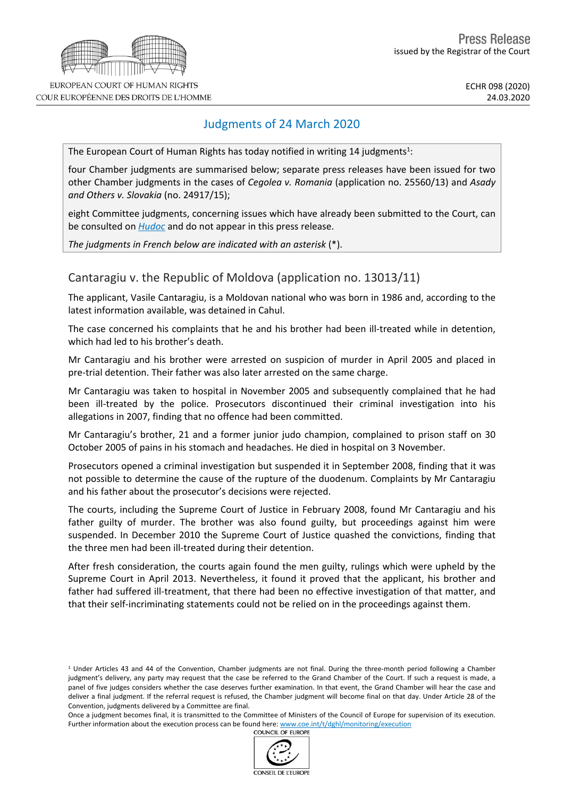

EUROPEAN COURT OF HUMAN RIGHTS COUR EUROPÉENNE DES DROITS DE L'HOMME

# Judgments of 24 March 2020

The European Court of Human Rights has today notified in writing 14 judgments<sup>1</sup>:

four Chamber judgments are summarised below; separate press releases have been issued for two other Chamber judgments in the cases of *Cegolea v. Romania* (application no. 25560/13) and *Asady and Others v. Slovakia* (no. 24917/15);

eight Committee judgments, concerning issues which have already been submitted to the Court, can be consulted on *[Hudoc](http://hudoc.echr.coe.int/sites/eng/Pages/search.aspx#%7B)* and do not appear in this press release.

*The judgments in French below are indicated with an asterisk* (\*).

# Cantaragiu v. the Republic of Moldova (application no. 13013/11)

The applicant, Vasile Cantaragiu, is a Moldovan national who was born in 1986 and, according to the latest information available, was detained in Cahul.

The case concerned his complaints that he and his brother had been ill-treated while in detention, which had led to his brother's death.

Mr Cantaragiu and his brother were arrested on suspicion of murder in April 2005 and placed in pre-trial detention. Their father was also later arrested on the same charge.

Mr Cantaragiu was taken to hospital in November 2005 and subsequently complained that he had been ill-treated by the police. Prosecutors discontinued their criminal investigation into his allegations in 2007, finding that no offence had been committed.

Mr Cantaragiu's brother, 21 and a former junior judo champion, complained to prison staff on 30 October 2005 of pains in his stomach and headaches. He died in hospital on 3 November.

Prosecutors opened a criminal investigation but suspended it in September 2008, finding that it was not possible to determine the cause of the rupture of the duodenum. Complaints by Mr Cantaragiu and his father about the prosecutor's decisions were rejected.

The courts, including the Supreme Court of Justice in February 2008, found Mr Cantaragiu and his father guilty of murder. The brother was also found guilty, but proceedings against him were suspended. In December 2010 the Supreme Court of Justice quashed the convictions, finding that the three men had been ill-treated during their detention.

After fresh consideration, the courts again found the men guilty, rulings which were upheld by the Supreme Court in April 2013. Nevertheless, it found it proved that the applicant, his brother and father had suffered ill-treatment, that there had been no effective investigation of that matter, and that their self-incriminating statements could not be relied on in the proceedings against them.

Once a judgment becomes final, it is transmitted to the Committee of Ministers of the Council of Europe for supervision of its execution. Further information about the execution process can be found here: [www.coe.int/t/dghl/monitoring/execution](http://www.coe.int/t/dghl/monitoring/execution#_blank)<br>COUNCIL OF EUROPE



<sup>1</sup> Under Articles 43 and 44 of the Convention, Chamber judgments are not final. During the three-month period following a Chamber judgment's delivery, any party may request that the case be referred to the Grand Chamber of the Court. If such a request is made, a panel of five judges considers whether the case deserves further examination. In that event, the Grand Chamber will hear the case and deliver a final judgment. If the referral request is refused, the Chamber judgment will become final on that day. Under Article 28 of the Convention, judgments delivered by a Committee are final.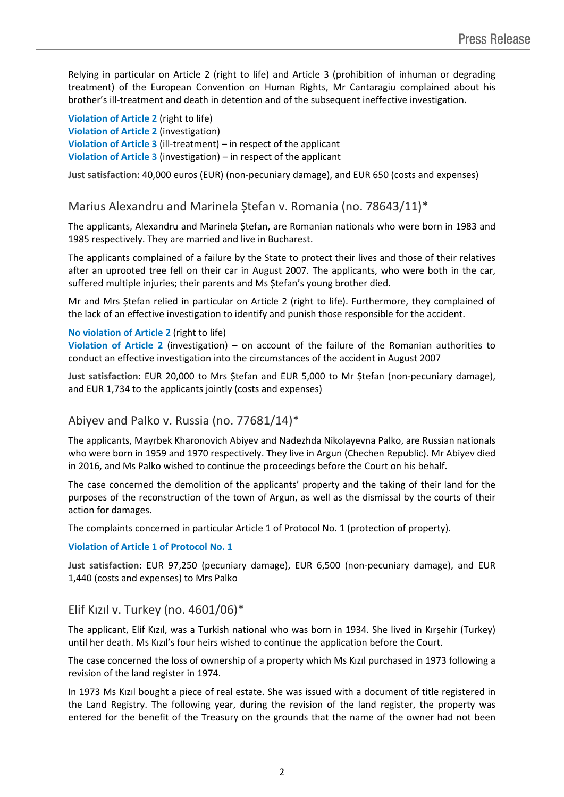Relying in particular on Article 2 (right to life) and Article 3 (prohibition of inhuman or degrading treatment) of the European Convention on Human Rights, Mr Cantaragiu complained about his brother's ill-treatment and death in detention and of the subsequent ineffective investigation.

**Violation of Article 2** (right to life) **Violation of Article 2** (investigation) **Violation of Article 3** (ill-treatment) – in respect of the applicant **Violation of Article 3** (investigation) – in respect of the applicant

**Just satisfaction**: 40,000 euros (EUR) (non-pecuniary damage), and EUR 650 (costs and expenses)

## Marius Alexandru and Marinela Ștefan v. Romania (no. 78643/11)\*

The applicants, Alexandru and Marinela Ștefan, are Romanian nationals who were born in 1983 and 1985 respectively. They are married and live in Bucharest.

The applicants complained of a failure by the State to protect their lives and those of their relatives after an uprooted tree fell on their car in August 2007. The applicants, who were both in the car, suffered multiple injuries; their parents and Ms Ștefan's young brother died.

Mr and Mrs Ștefan relied in particular on Article 2 (right to life). Furthermore, they complained of the lack of an effective investigation to identify and punish those responsible for the accident.

#### **No violation of Article 2** (right to life)

**Violation of Article 2** (investigation) – on account of the failure of the Romanian authorities to conduct an effective investigation into the circumstances of the accident in August 2007

**Just satisfaction**: EUR 20,000 to Mrs Ștefan and EUR 5,000 to Mr Ștefan (non-pecuniary damage), and EUR 1,734 to the applicants jointly (costs and expenses)

## Abiyev and Palko v. Russia (no. 77681/14)\*

The applicants, Mayrbek Kharonovich Abiyev and Nadezhda Nikolayevna Palko, are Russian nationals who were born in 1959 and 1970 respectively. They live in Argun (Chechen Republic). Mr Abiyev died in 2016, and Ms Palko wished to continue the proceedings before the Court on his behalf.

The case concerned the demolition of the applicants' property and the taking of their land for the purposes of the reconstruction of the town of Argun, as well as the dismissal by the courts of their action for damages.

The complaints concerned in particular Article 1 of Protocol No. 1 (protection of property).

### **Violation of Article 1 of Protocol No. 1**

**Just satisfaction**: EUR 97,250 (pecuniary damage), EUR 6,500 (non-pecuniary damage), and EUR 1,440 (costs and expenses) to Mrs Palko

## Elif Kızıl v. Turkey (no. 4601/06)\*

The applicant, Elif Kızıl, was a Turkish national who was born in 1934. She lived in Kırşehir (Turkey) until her death. Ms Kızıl's four heirs wished to continue the application before the Court.

The case concerned the loss of ownership of a property which Ms Kızıl purchased in 1973 following a revision of the land register in 1974.

In 1973 Ms Kızıl bought a piece of real estate. She was issued with a document of title registered in the Land Registry. The following year, during the revision of the land register, the property was entered for the benefit of the Treasury on the grounds that the name of the owner had not been